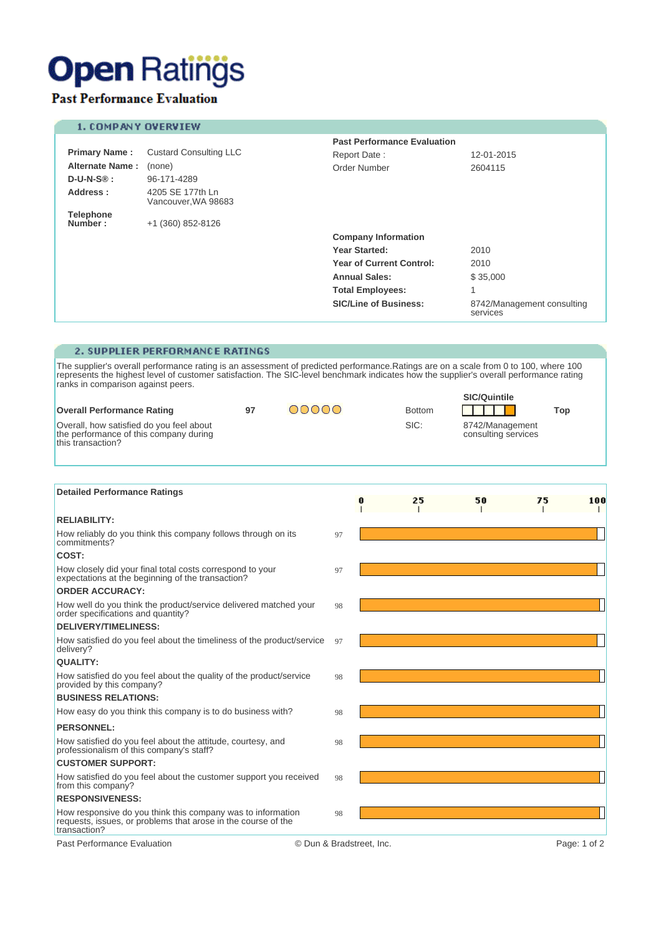# **Open Ratings**

## **Past Performance Evaluation**

### 1. COMPANY OVERVIEW

|                             |                                         | <b>Past Performance Evaluation</b> |                                        |  |
|-----------------------------|-----------------------------------------|------------------------------------|----------------------------------------|--|
| <b>Primary Name:</b>        | <b>Custard Consulting LLC</b>           | Report Date:                       | 12-01-2015                             |  |
| <b>Alternate Name:</b>      | (none)                                  | Order Number                       | 2604115                                |  |
| $D-U-N-S\circledR :$        | 96-171-4289                             |                                    |                                        |  |
| Address:                    | 4205 SE 177th Ln<br>Vancouver, WA 98683 |                                    |                                        |  |
| <b>Telephone</b><br>Number: | +1 (360) 852-8126                       |                                    |                                        |  |
|                             |                                         | <b>Company Information</b>         |                                        |  |
|                             |                                         | Year Started:                      | 2010                                   |  |
|                             |                                         | <b>Year of Current Control:</b>    | 2010                                   |  |
|                             |                                         | <b>Annual Sales:</b>               | \$35,000                               |  |
|                             |                                         | <b>Total Employees:</b>            | $\overline{\mathcal{A}}$               |  |
|                             |                                         | <b>SIC/Line of Business:</b>       | 8742/Management consulting<br>services |  |

#### 2. SUPPLIER PERFORMANCE RATINGS

The supplier's overall performance rating is an assessment of predicted performance. Ratings are on a scale from 0 to 100, where 100 represents the highest level of customer satisfaction. The SIC-level benchmark indicates

|                                                                                                         |    |       |               | <b>SIC/Quintile</b>                    |     |
|---------------------------------------------------------------------------------------------------------|----|-------|---------------|----------------------------------------|-----|
| <b>Overall Performance Rating</b>                                                                       | 97 | DOOOO | <b>Bottom</b> |                                        | Top |
| Overall, how satisfied do you feel about<br>the performance of this company during<br>this transaction? |    |       | SIC:          | 8742/Management<br>consulting services |     |

| <b>Detailed Performance Ratings</b>                                                                                                          |                          |  |    |    |    |              |
|----------------------------------------------------------------------------------------------------------------------------------------------|--------------------------|--|----|----|----|--------------|
|                                                                                                                                              |                          |  | 25 | 50 | 75 | 100          |
| <b>RELIABILITY:</b>                                                                                                                          |                          |  |    |    |    |              |
| How reliably do you think this company follows through on its<br>commitments?                                                                | 97                       |  |    |    |    |              |
| COST:                                                                                                                                        |                          |  |    |    |    |              |
| How closely did your final total costs correspond to your<br>expectations at the beginning of the transaction?                               | 97                       |  |    |    |    |              |
| <b>ORDER ACCURACY:</b>                                                                                                                       |                          |  |    |    |    |              |
| How well do you think the product/service delivered matched your<br>order specifications and quantity?                                       | 98                       |  |    |    |    |              |
| <b>DELIVERY/TIMELINESS:</b>                                                                                                                  |                          |  |    |    |    |              |
| How satisfied do you feel about the timeliness of the product/service<br>delivery?                                                           | 97                       |  |    |    |    |              |
| QUALITY:                                                                                                                                     |                          |  |    |    |    |              |
| How satisfied do you feel about the quality of the product/service<br>provided by this company?                                              | 98                       |  |    |    |    |              |
| <b>BUSINESS RELATIONS:</b>                                                                                                                   |                          |  |    |    |    |              |
| How easy do you think this company is to do business with?                                                                                   | 98                       |  |    |    |    |              |
| <b>PERSONNEL:</b>                                                                                                                            |                          |  |    |    |    |              |
| How satisfied do you feel about the attitude, courtesy, and<br>professionalism of this company's staff?                                      | 98                       |  |    |    |    |              |
| <b>CUSTOMER SUPPORT:</b>                                                                                                                     |                          |  |    |    |    |              |
| How satisfied do you feel about the customer support you received<br>from this company?                                                      | 98                       |  |    |    |    |              |
| <b>RESPONSIVENESS:</b>                                                                                                                       |                          |  |    |    |    |              |
| How responsive do you think this company was to information<br>requests, issues, or problems that arose in the course of the<br>transaction? | 98                       |  |    |    |    |              |
| Past Performance Evaluation                                                                                                                  | © Dun & Bradstreet, Inc. |  |    |    |    | Page: 1 of 2 |